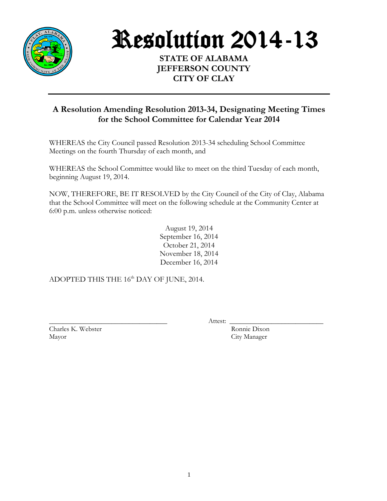

Resolution 2014-13

**STATE OF ALABAMA JEFFERSON COUNTY CITY OF CLAY**

## **A Resolution Amending Resolution 2013-34, Designating Meeting Times for the School Committee for Calendar Year 2014**

WHEREAS the City Council passed Resolution 2013-34 scheduling School Committee Meetings on the fourth Thursday of each month, and

WHEREAS the School Committee would like to meet on the third Tuesday of each month, beginning August 19, 2014.

NOW, THEREFORE, BE IT RESOLVED by the City Council of the City of Clay, Alabama that the School Committee will meet on the following schedule at the Community Center at 6:00 p.m. unless otherwise noticed:

> August 19, 2014 September 16, 2014 October 21, 2014 November 18, 2014 December 16, 2014

ADOPTED THIS THE 16<sup>th</sup> DAY OF JUNE, 2014.

Charles K. Webster Ronnie Dixon Mayor City Manager

\_\_\_\_\_\_\_\_\_\_\_\_\_\_\_\_\_\_\_\_\_\_\_\_\_\_\_\_\_\_\_\_\_\_ Attest: \_\_\_\_\_\_\_\_\_\_\_\_\_\_\_\_\_\_\_\_\_\_\_\_\_\_\_